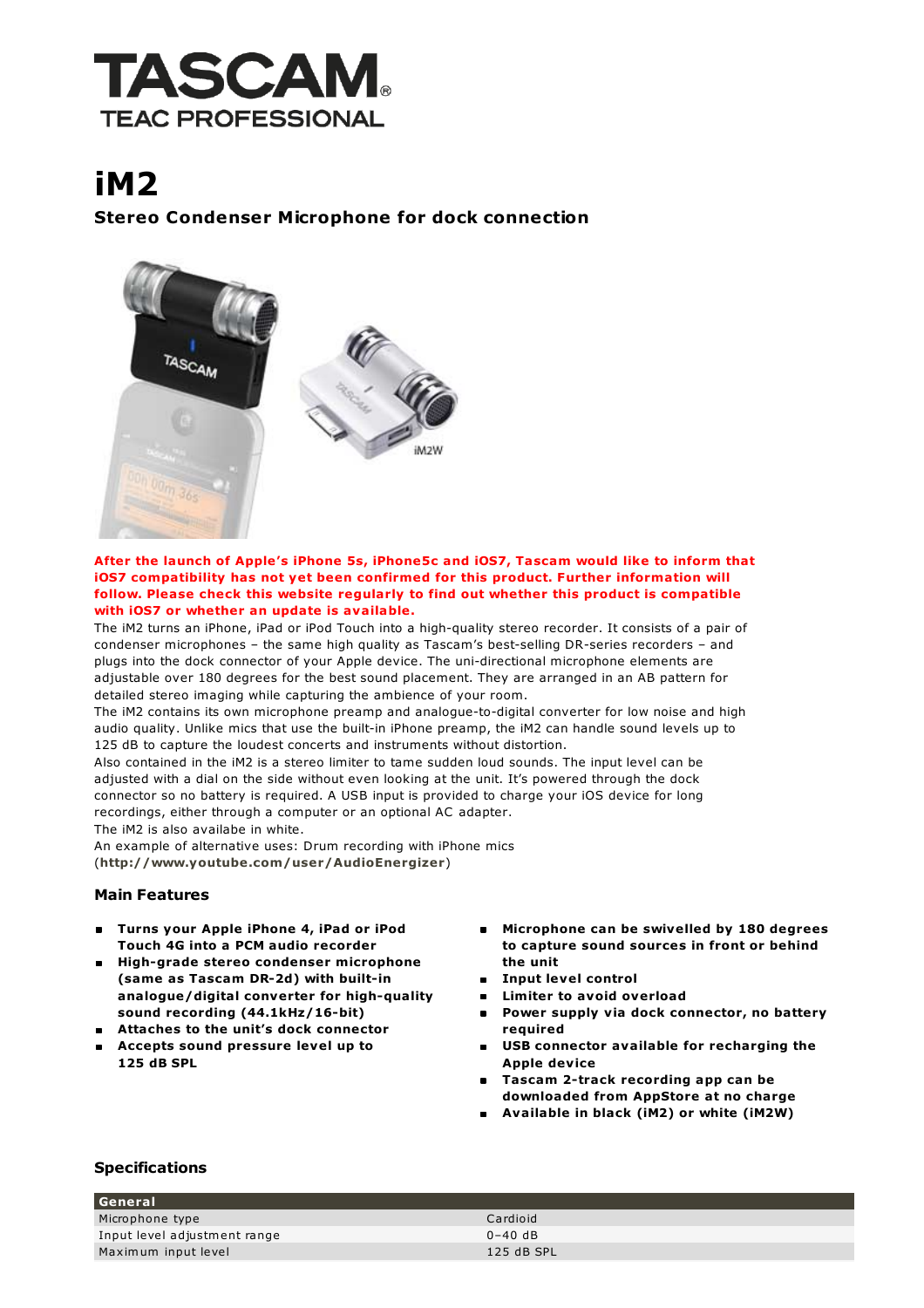

## iM2

Stereo Condenser Microphone for dock connection



## After the launch of Apple's iPhone 5s, iPhone5c and iOS7, Tascam would like to inform that iOS7 compatibility has not yet been confirmed for this product. Further information will follow. Please check this website regularly to find out whether this product is compatible with iOS7 or whether an update is available.

The iM2 turns an iPhone, iPad or iPod Touch into a high-quality stereo recorder. It consists of a pair of condenser microphones – the same high quality as Tascam's best-selling DR-series recorders – and plugs into the dock connector of your Apple device. The uni-directional microphone elements are adjustable over 180 degrees for the best sound placement. They are arranged in an AB pattern for detailed stereo imaging while capturing the ambience of your room.

The iM2 contains its own microphone preamp and analogue-to-digital converter for low noise and high audio quality. Unlike mics that use the built-in iPhone preamp, the iM2 can handle sound levels up to 125 dB to capture the loudest concerts and instruments without distortion.

Also contained in the iM2 is a stereo limiter to tame sudden loud sounds. The input level can be adjusted with a dial on the side without even looking at the unit. It's powered through the dock connector so no battery is required. A USB input is provided to charge your iOS device for long recordings, either through a computer or an optional AC adapter.

The iM2 is also availabe in white.

An example of alternative uses: Drum recording with iPhone mics (<http://www.youtube.com/user/AudioEnergizer>)

## Main Features

- Turns your Apple iPhone 4, iPad or iPod Touch 4G into a PCM audio recorder
- High-grade stereo condenser microphone (same as Tascam DR-2d) with built-in analogue/digital converter for high-quality sound recording (44.1kHz/16-bit)
- Attaches to the unit's dock connector
- Accepts sound pressure level up to 125 dB SPL
- **Microphone can be swivelled by 180 degrees** to capture sound sources in front or behind the unit
- **Input level control**
- **E** Limiter to avoid overload
- **Power supply via dock connector, no battery** required
- USB connector available for recharging the Apple device
- **Tascam 2-track recording app can be** downloaded from AppStore at no charge
- Available in black (iM2) or white (iM2W)

## Specifications

| l General                    |            |
|------------------------------|------------|
| Microphone type              | Cardioid   |
| Input level adjustment range | $0-40$ dB  |
| Maximum input level          | 125 dB SPL |